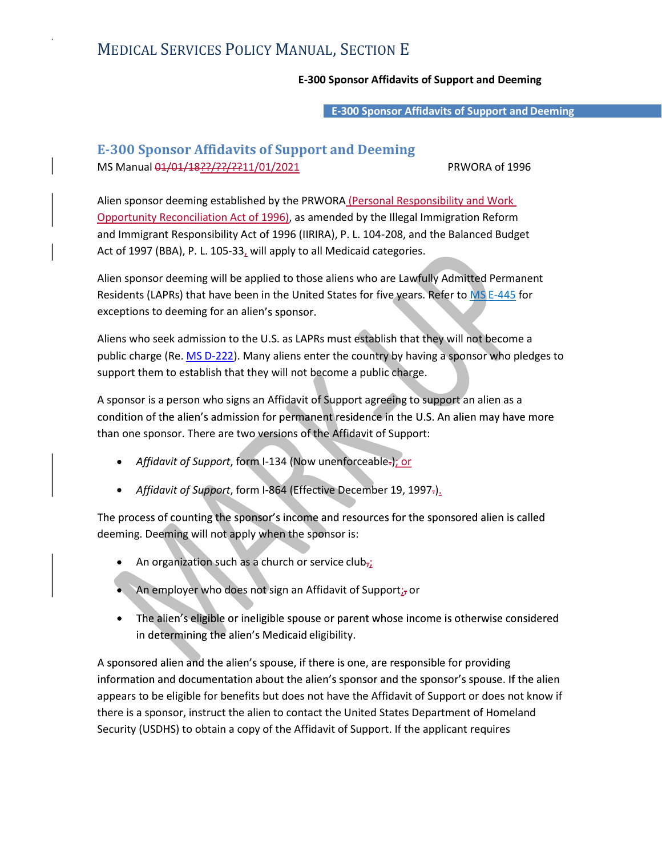## MEDICAL SERVICES POLICY MANUAL, SECTION E

## E-300 Sponsor Affidavits of Support and Deeming

E-300 Sponsor Affidavits of Support and Deeming

## E-300 Sponsor Affidavits of Support and Deeming MS Manual 01/01/18??/??/??11/01/2021 PRWORA of 1996

Alien sponsor deeming established by the PRWORA (Personal Responsibility and Work Opportunity Reconciliation Act of 1996), as amended by the Illegal Immigration Reform and Immigrant Responsibility Act of 1996 (IIRIRA), P. L. 104-208, and the Balanced Budget Act of 1997 (BBA), P. L. 105-33, will apply to all Medicaid categories.

Alien sponsor deeming will be applied to those aliens who are Lawfully Admitted Permanent Residents (LAPRs) that have been in the United States for five years. Refer to MS E-445 for exceptions to deeming for an alien's sponsor.

Aliens who seek admission to the U.S. as LAPRs must establish that they will not become a public charge (Re. MS D-222). Many aliens enter the country by having a sponsor who pledges to support them to establish that they will not become a public charge.

A sponsor is a person who signs an Affidavit of Support agreeing to support an alien as a condition of the alien's admission for permanent residence in the U.S. An alien may have more than one sponsor. There are two versions of the Affidavit of Support:

- Affidavit of Support, form I-134 (Now unenforceable-); or
- Affidavit of Support, form I-864 (Effective December 19, 1997-).

The process of counting the sponsor's income and resources for the sponsored alien is called deeming. Deeming will not apply when the sponsor is:

- An organization such as a church or service club $_{72}$
- An employer who does not sign an Affidavit of Support $_{L}$  or
- The alien's eligible or ineligible spouse or parent whose income is otherwise considered in determining the alien's Medicaid eligibility.

A sponsored alien and the alien's spouse, if there is one, are responsible for providing information and documentation about the alien's sponsor and the sponsor's spouse. If the alien appears to be eligible for benefits but does not have the Affidavit of Support or does not know if there is a sponsor, instruct the alien to contact the United States Department of Homeland Security (USDHS) to obtain a copy of the Affidavit of Support. If the applicant requires